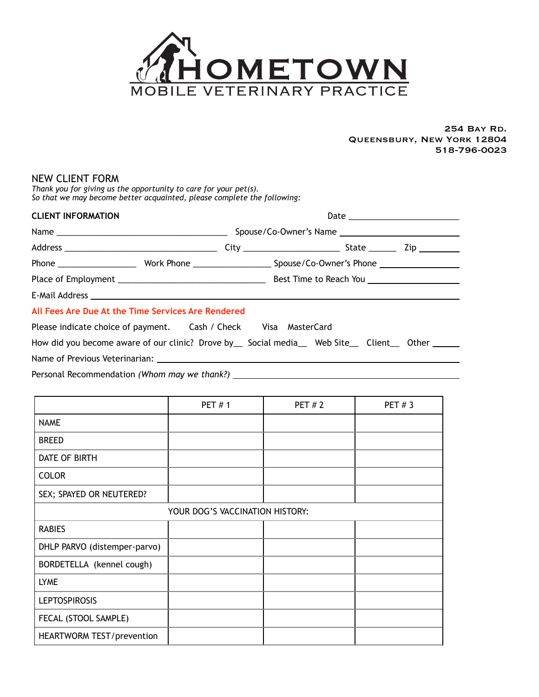

254 Bay Rd. Queensbury, New York 12804 518-796-0023

## NEW CLIENT FORM

*Thank you for giving us the opportunity to care for your pet(s). So that we may become better acquainted, please complete the following:* 

| <b>CLIENT INFORMATION</b>                                                                 |  |  |  |  |  |  |
|-------------------------------------------------------------------------------------------|--|--|--|--|--|--|
|                                                                                           |  |  |  |  |  |  |
|                                                                                           |  |  |  |  |  |  |
|                                                                                           |  |  |  |  |  |  |
|                                                                                           |  |  |  |  |  |  |
|                                                                                           |  |  |  |  |  |  |
| All Fees Are Due At the Time Services Are Rendered                                        |  |  |  |  |  |  |
| Please indicate choice of payment. Cash / Check Visa MasterCard                           |  |  |  |  |  |  |
| Unudid usu kacama sugawa afawa disia? Danya bu Locatal spadia - Wab Cita - Client - Othaw |  |  |  |  |  |  |

How did you become aware of our clinic? Drove by\_\_ Social media\_\_ Web Site\_\_ Client\_\_ Other \_\_\_ Name of Previous Veterinarian:

Personal Recommendation *(Whom may we thank?)* 

|                                 | <b>PET#1</b> | <b>PET#2</b> | <b>PET #3</b> |  |
|---------------------------------|--------------|--------------|---------------|--|
| <b>NAME</b>                     |              |              |               |  |
| <b>BREED</b>                    |              |              |               |  |
| DATE OF BIRTH                   |              |              |               |  |
| <b>COLOR</b>                    |              |              |               |  |
| SEX; SPAYED OR NEUTERED?        |              |              |               |  |
| YOUR DOG'S VACCINATION HISTORY: |              |              |               |  |
| <b>RABIES</b>                   |              |              |               |  |
| DHLP PARVO (distemper-parvo)    |              |              |               |  |
| BORDETELLA (kennel cough)       |              |              |               |  |
| <b>LYME</b>                     |              |              |               |  |
| <b>LEPTOSPIROSIS</b>            |              |              |               |  |
| FECAL (STOOL SAMPLE)            |              |              |               |  |
| HEARTWORM TEST/prevention       |              |              |               |  |